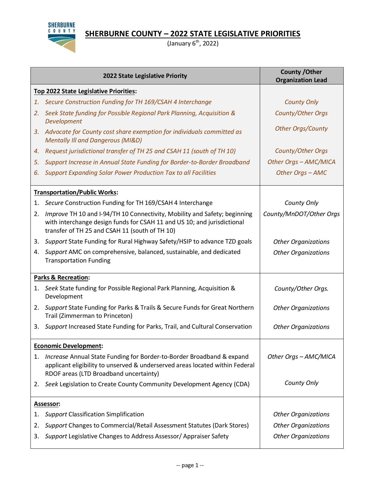

## **SHERBURNE COUNTY – 2022 STATE LEGISLATIVE PRIORITIES**

(January 6<sup>th</sup>, 2022)

|    | 2022 State Legislative Priority                                                                                                                                                                        | <b>County / Other</b><br><b>Organization Lead</b> |
|----|--------------------------------------------------------------------------------------------------------------------------------------------------------------------------------------------------------|---------------------------------------------------|
|    | Top 2022 State Legislative Priorities:                                                                                                                                                                 |                                                   |
| 1. | Secure Construction Funding for TH 169/CSAH 4 Interchange                                                                                                                                              | <b>County Only</b>                                |
|    | 2. Seek State funding for Possible Regional Park Planning, Acquisition &<br>Development                                                                                                                | County/Other Orgs                                 |
|    | 3. Advocate for County cost share exemption for individuals committed as<br><b>Mentally III and Dangerous (MI&amp;D)</b>                                                                               | <b>Other Orgs/County</b>                          |
| 4. | Request jurisdictional transfer of TH 25 and CSAH 11 (south of TH 10)                                                                                                                                  | County/Other Orgs                                 |
| 5. | Support Increase in Annual State Funding for Border-to-Border Broadband                                                                                                                                | Other Orgs - AMC/MICA                             |
| 6. | <b>Support Expanding Solar Power Production Tax to all Facilities</b>                                                                                                                                  | Other Orgs - AMC                                  |
|    | <b>Transportation/Public Works:</b>                                                                                                                                                                    |                                                   |
|    | 1. Secure Construction Funding for TH 169/CSAH 4 Interchange                                                                                                                                           | County Only                                       |
| 2. | Improve TH 10 and I-94/TH 10 Connectivity, Mobility and Safety; beginning<br>with interchange design funds for CSAH 11 and US 10; and jurisdictional<br>transfer of TH 25 and CSAH 11 (south of TH 10) | County/MnDOT/Other Orgs                           |
|    | 3. Support State Funding for Rural Highway Safety/HSIP to advance TZD goals                                                                                                                            | <b>Other Organizations</b>                        |
|    | 4. Support AMC on comprehensive, balanced, sustainable, and dedicated<br><b>Transportation Funding</b>                                                                                                 | <b>Other Organizations</b>                        |
|    | <b>Parks &amp; Recreation:</b>                                                                                                                                                                         |                                                   |
| 1. | Seek State funding for Possible Regional Park Planning, Acquisition &<br>Development                                                                                                                   | County/Other Orgs.                                |
| 2. | Support State Funding for Parks & Trails & Secure Funds for Great Northern<br>Trail (Zimmerman to Princeton)                                                                                           | <b>Other Organizations</b>                        |
| 3. | Support Increased State Funding for Parks, Trail, and Cultural Conservation                                                                                                                            | <b>Other Organizations</b>                        |
|    | <b>Economic Development:</b>                                                                                                                                                                           |                                                   |
| 1. | Increase Annual State Funding for Border-to-Border Broadband & expand<br>applicant eligibility to unserved & underserved areas located within Federal<br>RDOF areas (LTD Broadband uncertainty)        | Other Orgs - AMC/MICA                             |
|    | 2. Seek Legislation to Create County Community Development Agency (CDA)                                                                                                                                | County Only                                       |
|    | Assessor:                                                                                                                                                                                              |                                                   |
| 1. | Support Classification Simplification                                                                                                                                                                  | <b>Other Organizations</b>                        |
| 2. | Support Changes to Commercial/Retail Assessment Statutes (Dark Stores)                                                                                                                                 | <b>Other Organizations</b>                        |
| 3. | Support Legislative Changes to Address Assessor/Appraiser Safety                                                                                                                                       | <b>Other Organizations</b>                        |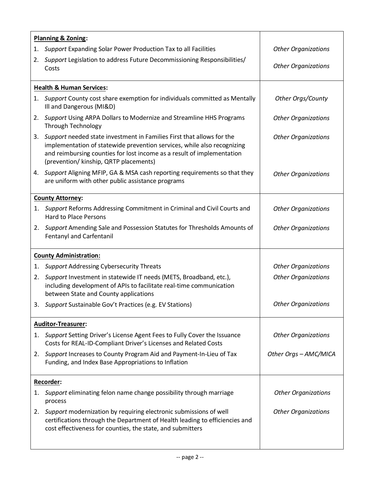|    | <b>Planning &amp; Zoning:</b>                                                                                                                                                                                                                                           |                            |  |  |  |
|----|-------------------------------------------------------------------------------------------------------------------------------------------------------------------------------------------------------------------------------------------------------------------------|----------------------------|--|--|--|
| 1. | Support Expanding Solar Power Production Tax to all Facilities                                                                                                                                                                                                          | <b>Other Organizations</b> |  |  |  |
| 2. | Support Legislation to address Future Decommissioning Responsibilities/<br>Costs                                                                                                                                                                                        | <b>Other Organizations</b> |  |  |  |
|    | <b>Health &amp; Human Services:</b>                                                                                                                                                                                                                                     |                            |  |  |  |
| 1. | Support County cost share exemption for individuals committed as Mentally<br>Ill and Dangerous (MI&D)                                                                                                                                                                   | Other Orgs/County          |  |  |  |
| 2. | Support Using ARPA Dollars to Modernize and Streamline HHS Programs<br><b>Through Technology</b>                                                                                                                                                                        | <b>Other Organizations</b> |  |  |  |
|    | 3. Support needed state investment in Families First that allows for the<br>implementation of statewide prevention services, while also recognizing<br>and reimbursing counties for lost income as a result of implementation<br>(prevention/ kinship, QRTP placements) | <b>Other Organizations</b> |  |  |  |
|    | 4. Support Aligning MFIP, GA & MSA cash reporting requirements so that they<br>are uniform with other public assistance programs                                                                                                                                        | <b>Other Organizations</b> |  |  |  |
|    | <b>County Attorney:</b>                                                                                                                                                                                                                                                 |                            |  |  |  |
|    | 1. Support Reforms Addressing Commitment in Criminal and Civil Courts and<br><b>Hard to Place Persons</b>                                                                                                                                                               | <b>Other Organizations</b> |  |  |  |
|    | 2. Support Amending Sale and Possession Statutes for Thresholds Amounts of<br>Fentanyl and Carfentanil                                                                                                                                                                  | <b>Other Organizations</b> |  |  |  |
|    | <b>County Administration:</b>                                                                                                                                                                                                                                           |                            |  |  |  |
| 1. | <b>Support Addressing Cybersecurity Threats</b>                                                                                                                                                                                                                         | <b>Other Organizations</b> |  |  |  |
|    | 2. Support Investment in statewide IT needs (METS, Broadband, etc.),<br>including development of APIs to facilitate real-time communication<br>between State and County applications                                                                                    | <b>Other Organizations</b> |  |  |  |
|    | 3. Support Sustainable Gov't Practices (e.g. EV Stations)                                                                                                                                                                                                               | <b>Other Organizations</b> |  |  |  |
|    | <b>Auditor-Treasurer:</b>                                                                                                                                                                                                                                               |                            |  |  |  |
|    | 1. Support Setting Driver's License Agent Fees to Fully Cover the Issuance<br>Costs for REAL-ID-Compliant Driver's Licenses and Related Costs                                                                                                                           | <b>Other Organizations</b> |  |  |  |
|    | 2. Support Increases to County Program Aid and Payment-In-Lieu of Tax<br>Funding, and Index Base Appropriations to Inflation                                                                                                                                            | Other Orgs - AMC/MICA      |  |  |  |
|    | Recorder:                                                                                                                                                                                                                                                               |                            |  |  |  |
|    | 1. Support eliminating felon name change possibility through marriage<br>process                                                                                                                                                                                        | <b>Other Organizations</b> |  |  |  |
|    | 2. Support modernization by requiring electronic submissions of well<br>certifications through the Department of Health leading to efficiencies and<br>cost effectiveness for counties, the state, and submitters                                                       | <b>Other Organizations</b> |  |  |  |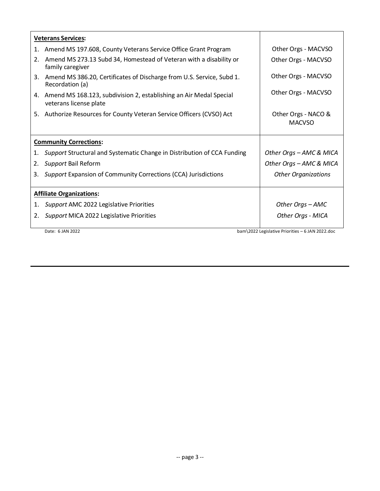|                                 | <b>Veterans Services:</b>                                                                       |                                                  |  |
|---------------------------------|-------------------------------------------------------------------------------------------------|--------------------------------------------------|--|
| 1.                              | Amend MS 197.608, County Veterans Service Office Grant Program                                  | Other Orgs - MACVSO                              |  |
| 2.                              | Amend MS 273.13 Subd 34, Homestead of Veteran with a disability or<br>family caregiver          | Other Orgs - MACVSO                              |  |
|                                 | 3. Amend MS 386.20, Certificates of Discharge from U.S. Service, Subd 1.<br>Recordation (a)     | Other Orgs - MACVSO                              |  |
|                                 | 4. Amend MS 168.123, subdivision 2, establishing an Air Medal Special<br>veterans license plate | Other Orgs - MACVSO                              |  |
|                                 | 5. Authorize Resources for County Veteran Service Officers (CVSO) Act                           | Other Orgs - NACO &<br><b>MACVSO</b>             |  |
| <b>Community Corrections:</b>   |                                                                                                 |                                                  |  |
| 1.                              | Support Structural and Systematic Change in Distribution of CCA Funding                         | Other Orgs - AMC & MICA                          |  |
| 2.                              | Support Bail Reform                                                                             | Other Orgs - AMC & MICA                          |  |
| 3.                              | Support Expansion of Community Corrections (CCA) Jurisdictions                                  | <b>Other Organizations</b>                       |  |
| <b>Affiliate Organizations:</b> |                                                                                                 |                                                  |  |
| 1.                              | Support AMC 2022 Legislative Priorities                                                         | Other Orgs - AMC                                 |  |
| 2.                              | Support MICA 2022 Legislative Priorities                                                        | Other Orgs - MICA                                |  |
|                                 | Date: 6 JAN 2022                                                                                | bam\2022 Legislative Priorities - 6 JAN 2022.doc |  |